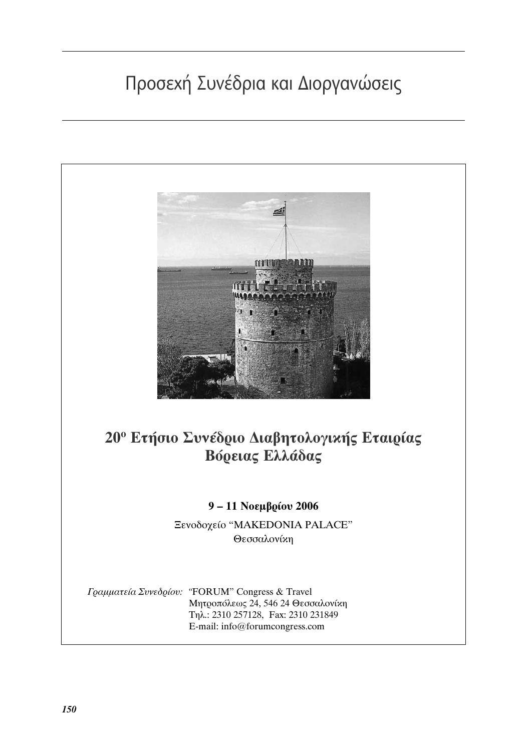## Προσεχή Συνέδρια και Διοργανώσεις

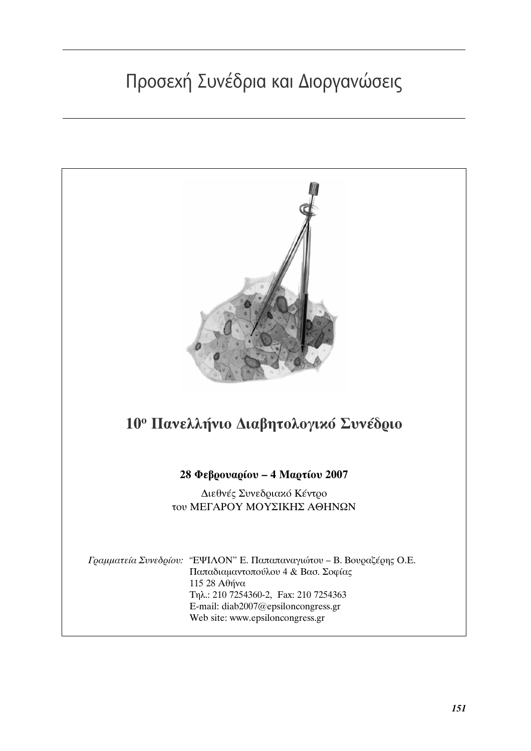# Προσεχή Συνέδρια και Διοργανώσεις